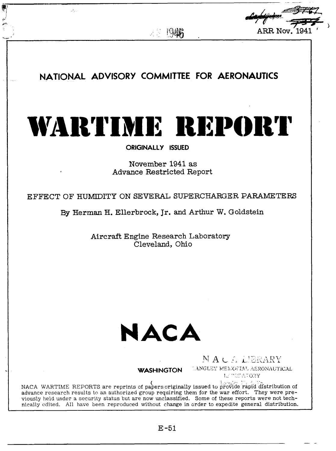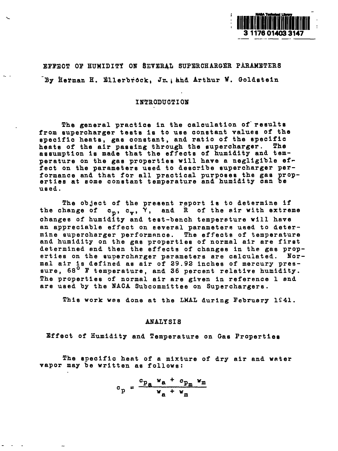

EFFECT OF HUMIDITY ON SEVERAL SUPERCHARGER PARAMETER By Herman H. Ellerbrock, Jr.; and Arthur W. Goldstei

,.

# INTRODUCTION

The general practice in the calculation of results from supercharger tests is to use constant values of the specific heats, gas constant, and ratio of the specific heate of the air passing through the supercharger. The assumption Is made that the effects of humidity and temperature on the gas properties will have a negligible effect **on** the parameters used to describe supercharger performance and that for all practical purposes the gas properties at some constant temperature and humidity can be used.

The object of the present report is to determine if the change of c<sub>p</sub>, c<sub>y</sub>, <sup>Y</sup>, and R of the air with extrement changes **of** humidity and test-bench temperature will have an appreciable effect on several parameters used to determine supercharger performance. The effects of temperature and humidity on the gas properties of normal air are first determined end then the effects of changes in the gae properties on the supercharger parameters are calculated. Normal air is defined ae air of 29.92 inches of mercury pressure, 68<sup>°</sup> F temperature, and 36 percent relative humidity. The properties of normal air are given in reference 1 and are used by the NACA Subcommittee on Superchargers.

This work wss done at the LMAL during February 1S41.

#### ANALY S18

Effect of Humidity and Temperature on Gas Properties

The specific heat of a mixture of dry air and water vapor may be written as follows:

$$
c_p = \frac{c_{p_a} w_a + c_{p_m} w_m}{w_a + w_m}
$$

.-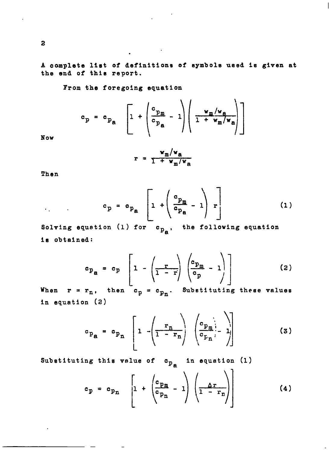A complete list of definitions of symbols used is given at the end **of** thie report.

 $\overline{1}$ 

.

From the foregoing equation

$$
c_p = c_{p_a} \left[ 1 + \left( \frac{c_{p_m}}{c_{p_a}} - 1 \right) \left( \frac{w_m/w_a}{1 + w_m/w_a} \right) \right]
$$

Now

$$
r = \frac{v_m/v_a}{1 + v_m/v_a}
$$

Then

$$
c_p = c_{p_a} \left[ 1 + \left( \frac{c_{p_m}}{c_{p_a}} - 1 \right) r \right]
$$
 (1)

Solving equation (1) for  $c_{p_a}$ , the following equation is obtained:

$$
c_{p_{\mathbf{a}}} = c_{p} \left[ 1 - \left( \frac{r}{1-r} \right) \left( \frac{c_{p_{\mathbf{m}}}}{c_{p}} - 1 \right) \right]
$$
 (2)

When  $r = r_n$ , then  $c_p = c_{p_n}$ . Substituting these values in equation (2)

$$
c_{p_{\mathbf{a}}} = c_{p_{\mathbf{n}}} \left[ 1 - \left( \frac{\mathbf{r}_{\mathbf{n}}}{1 - \mathbf{r}_{\mathbf{n}}} \right) \left( \frac{c_{p_{\mathbf{m}}}}{c_{p_{\mathbf{n}}}} - 1 \right) \right]
$$
(3)

Substituting this value of  $c_{p_a}$  in equation (1)

—

$$
c_p = c_{p_n} \left[ 1 + \left( \frac{c_{p_n}}{c_{p_n}} - 1 \right) \left( \frac{\Delta r}{1 - r_n} \right) \right]
$$
 (4)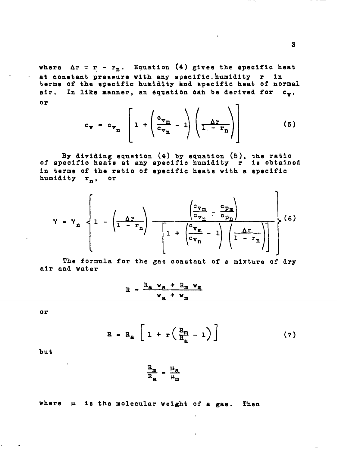where  $\Delta r = r - r_n$ . Equation (4) gives the specific heat at constant pressure with any specific humidity r in terms of the specific humidity and specific heat of normal air. In like manner, an equation can be derived for c., 0r  $\sqrt{7}$ 

$$
c_{\Psi} = c_{\Psi_{n}} \left[ 1 + \left( \frac{c_{\Psi_{n}}}{c_{\Psi_{n}}} - 1 \right) \left( \frac{\Delta r}{1 - r_{n}} \right) \right]
$$
 (5)

By dividing equation  $(4)$  by equation  $(5)$ , the ratio<br>of specific heats at any specific humidity r is obtained in terms of the ratio of specific heats with a specific humidity r<sub>n</sub>, or

$$
\gamma = \gamma_n \left\{ 1 - \left( \frac{\Delta r}{1 - r_n} \right) - \frac{\left( \frac{c_{\nu_m}}{c_{\nu_n}} - \frac{c_{p_m}}{c_{p_n}} \right)}{\left[ 1 + \left( \frac{c_{\nu_m}}{c_{\nu_n}} - 1 \right) \left( \frac{\Delta r}{1 - r_n} \right) \right]} \right\} (6)
$$

The formula for the gas constant of a mixture of dry air and water

$$
R = \frac{R_{\rm a} w_{\rm a} + R_{\rm m} w_{\rm m}}{w_{\rm a} + w_{\rm m}}
$$

 $\frac{R_m}{R_n} = \frac{\mu_B}{\mu_m}$ 

OT<sup></sup>

$$
R = R_{a} \left[ 1 + r \left( \frac{R_{m}}{R_{a}} - 1 \right) \right]
$$
 (7)

but

where 
$$
\mu
$$
 is the molecular weight of a gas. Then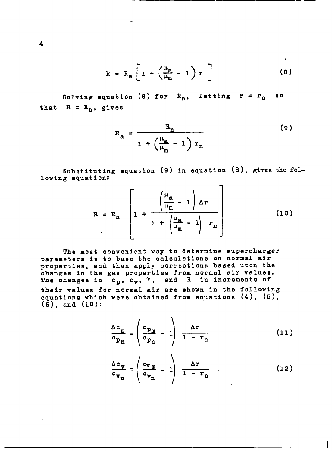$$
R = R_{a} \left[ 1 + \left( \frac{\mu_{a}}{\mu_{m}} - 1 \right) r \right]
$$
 (8)

.. — ..--, ,

Solving equation (8) for **R<sub>a</sub>, letting r** = r that  $R = R_n$ , gives *80*

.

$$
R_{a} = \frac{R_{n}}{1 + \left(\frac{\mu_{a}}{\mu_{m}} - 1\right) r_{n}}
$$
 (9)

Substituting equation (9) in equation (8), gives the following equationx

$$
R = R_{n} \left[ 1 + \frac{\left(\frac{\mu_{a}}{\mu_{m}} - 1\right) \Delta r}{1 + \left(\frac{\mu_{a}}{\mu_{m}} - 1\right) r_{n}} \right]
$$
 (10)

The most convenient way to determine supercharger parameters is to base the calculations on normal air properties, end then apply corrections based upon the changes in the gas properties from normal sir values. The changes in  $c_p$ ,  $c_{\gamma}$ ,  $\gamma$ , and R in increments of their values for normal air are shown in the following equations which were obtained *from* equations **(4), (5), (6),** and (10):

$$
\frac{\Delta c_p}{c_{p_n}} = \left(\frac{c_{p_m}}{c_{p_n}} - 1\right) \frac{\Delta r}{1 - r_n} \tag{11}
$$

$$
\frac{\Delta c_{\mathbf{v}}}{c_{\mathbf{v}_{n}}} = \left(\frac{c_{\mathbf{v}_{m}}}{c_{\mathbf{v}_{n}}} - 1\right) \frac{\Delta r}{1 - r_{n}} \qquad (12)
$$

 $\overline{\phantom{0}}$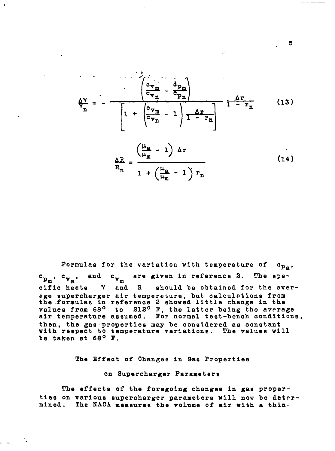$$
\hat{\phi}_{n}^{\gamma} = - \frac{\begin{pmatrix} c_{\nabla_{m}} & d_{P_{m}} \\ \overline{c_{\nabla_{n}}} & \overline{c_{P_{n}}} \end{pmatrix}}{\begin{bmatrix} 1 + \begin{pmatrix} c_{\nabla_{m}} & -1 \\ \overline{c_{\nabla_{n}}} & -1 \end{pmatrix} \overline{1 - r_{n}}} \qquad (13)
$$

$$
\frac{\Delta R}{R_n} = \frac{\left(\frac{\mu_a}{\mu_m} - 1\right) \Delta r}{1 + \left(\frac{\mu_a}{\mu_m} - 1\right) r_n}
$$
\n(14)

Formulas for the variation with temperature of  $c_{p_a}$ are given in reference 2. The spe $c_{p_m}$ ,  $c_{v_n}$ , and  $c_{v_m}$ cific heats Y and R should be obtained for the sverage supercharger air temperature, but calculations from the formulas in reference 2 showed little change in the values from 68° to 212° F, the latter being the average<br>air temperature assumed. For normal test-bench conditions, then, the gas properties may be considered as constant<br>with respect to temperature variations. The values will be taken at 68° F.

The Effect of Changes in Gas Properties

on Supercharger Parameters

The effects of the foregoing changes in gas properties on various supercharger parameters will now be determined. The NACA measures the volume of air with a thin-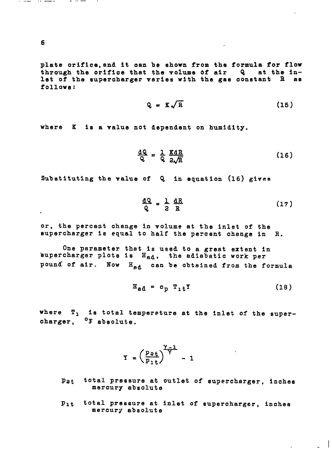**6**

plate orifice,and it oan be shown from the formula for *flow* through the orifloe that the volume *df* air Q at the inlet of the supercharger varies with the gas constant  $R$  as follows:

$$
Q = K \sqrt{R}
$$
 (15)

where *K is* a value not dependent on humidity.

$$
\frac{dQ}{Q} = \frac{1}{Q} \frac{KdR}{2\sqrt{R}}
$$
 (16)

Substituting the valne *of Q* in equation (16) gives

$$
\frac{dQ}{Q} = \frac{1}{2} \frac{dR}{R}
$$
 (17)

or, the percent change In volume at the inlet of the supercharger is equal to half the percent change in R.

One parameter thet Is used to a great extent In supercharger plots is  $H_{\text{ad}}$ , the adiabatic work per pound of air. Now H<sub>ad</sub> can be obtained from the formula

$$
H_{ad} = c_p T_1 t^T
$$
 (18)

-1

where  $T_1$  is total temperature at the inlet of the supercharger, <sup>O</sup>F absolute.

$$
Y = \left(\frac{p_{st}}{p_{1t}}\right)^{\frac{\gamma-1}{\gamma}} - 1
$$

- Pat total pressure at outlet of supercharger, inches mercury absolute
- Plt total pressure at inlet *of* supercharger, inches mercury absolute

and the company of the company of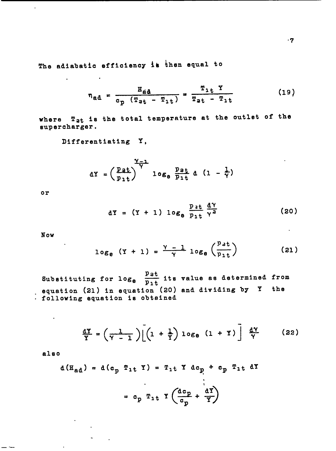The adiabatic efficiency is then equal to

$$
\eta_{ad} = \frac{H_{ad}}{c_p (T_{at} - T_{1t})} = \frac{T_{1t} T}{T_{at} - T_{1t}}
$$
 (19)

where T<sub>2t</sub> is the total temperature at the outlet of the supercharger.

Differentiating Y,

$$
dY = \left(\frac{Pat}{P_1t}\right)^{Y-1} \log_e \frac{Pat}{P_1t} d \left(1 - \frac{1}{\gamma}\right)
$$

 $or$ 

 $\sim 10$ 

**Contract Contract Advisers** 

 $\overline{\phantom{a}}$ 

$$
dY = (Y + 1) \log_e \frac{p_{3t}}{p_{1t}} \frac{dY}{Y^2}
$$
 (20)

Now

 $\sim$ 

$$
\log_e (Y + 1) = \frac{Y - 1}{Y} \log_e \left( \frac{P_{\text{at}}}{P_{1t}} \right)
$$
 (21)

Substituting for  $\log_{e}$   $\frac{p_{3t}}{p_{1t}}$  its value as determined from equation (21) in equation (20) and dividing by  $Y$  the . following equation is obtained

$$
\frac{dY}{Y} = \left(\frac{1}{Y-1}\right) \left[ \left(1 + \frac{1}{Y}\right) \log_e \left(1 + Y\right) \right] \frac{dY}{Y} \qquad (22)
$$

also

 $\mathbf{r}$ 

$$
d(H_{ad}) = d(c_p T_{1t} Y) = T_{1t} Y dc_p + c_p T_{1t} dY
$$

$$
= c_p T_{1t} Y \left(\frac{dc_p}{c_p} + \frac{dY}{Y}\right)
$$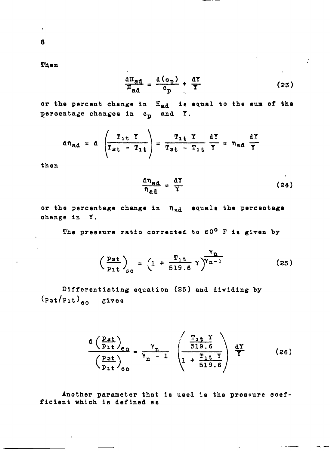Then

$$
\frac{\text{d}H_{\text{gd}}}{H_{\text{ad}}} = \frac{\text{d}(c_{\text{p}})}{c_{\text{p}}} + \frac{\text{d}Y}{Y} \tag{23}
$$

 $\mathbb{R}^2$ 

or the percent change in Ead is equal to the sum of the percentage changes in c<sub>p</sub> and Y.

$$
d\eta_{ad} = d \left(\frac{T_{1t} Y}{T_{at} - T_{1t}}\right) = \frac{T_{1t} Y}{T_{at} - T_{1t}} \frac{dY}{Y} = \eta_{ad} \frac{dY}{Y}
$$

then

$$
\frac{d\eta_{ad}}{\eta_{ad}} = \frac{dY}{Y} \tag{24}
$$

or the percentage change in n<sub>ad</sub> equals the percentage change in Y.

The pressure ratio corrected to 60° F is given by

$$
\left(\frac{p_{at}}{p_{1t}}\right)_{00} = \left(1 + \frac{T_{1t}}{519.6} \gamma\right)^{\gamma_{n-1}}
$$
 (25)

Differentiating equation (25) and dividing by  $(p_{at}/p_{1t})_{so}$  gives

$$
\frac{d\left(\frac{Pzt}{P_1t}\right)_{60}}{\left(\frac{Pzt}{P_1t}\right)_{60}} = \frac{\gamma_n}{\gamma_n - 1} \left(\frac{\frac{T_1t}{519.6}}{1 + \frac{T_1t}{519.6}}\right) \frac{dY}{Y}
$$
(26)

Another parameter that is used is the pressure coefficient which is defined as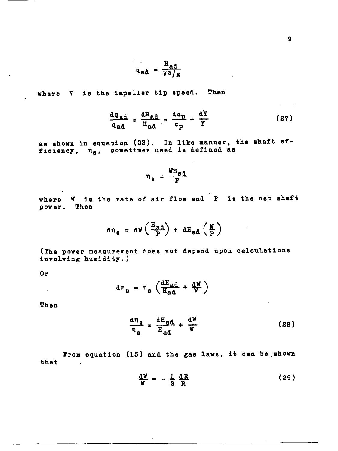$$
q_{ad} = \frac{H_{ad}}{v^2/g}
$$

where V is the impeller tip speed. Then

$$
\frac{dq_{ad}}{q_{ad}} = \frac{dH_{ad}}{H_{ad}} = \frac{dc_p}{c_p} + \frac{dY}{Y}
$$
 (27)

as shown in equation (23). In like manner, the shaft efficiency,  $n_g$ , sometimes used is defined as

$$
\eta_{\rm g} = \frac{W_{\rm H}d}{P}
$$

where W is the rate of air flow and P is the net shaft power. Then

$$
d\eta_{g} = dW \left( \frac{H_{ad}}{P} \right) + dH_{ad} \left( \frac{W}{P} \right)
$$

(The power measurement does not depend upon calculations involving humidity.)

 $0r$ 

$$
d\eta_{g} = \eta_{g} \left( \frac{dH_{ad}}{H_{ad}} + \frac{dW}{W} \right)
$$

Then

 $\sim 10^{-11}$ 

$$
\frac{d\eta_{g}}{\eta_{g}} = \frac{dH_{gd}}{H_{ad}} + \frac{dW}{W}
$$
 (28)

From equation (15) and the gas laws, it can be shown that  $\sim$   $\sim$ 

$$
\frac{\mathrm{d} \mathbf{W}}{\mathbf{W}} = -\frac{1}{2} \frac{\mathrm{d} \mathbf{R}}{\mathbf{R}}
$$
 (29)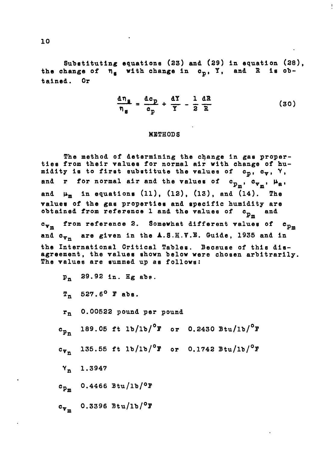Substituting equations (23) and (29) in equation (28), the change of  $n_a$  with change in  $c_p$ , Y, and R is obtained. Or

$$
\frac{d\eta_g}{\eta_g} = \frac{dc_p}{c_p} + \frac{dY}{Y} - \frac{1}{2}\frac{dR}{R}
$$
 (30)

## METHODS

The method *of* determining the change in gas properties *from* their values for normal air with change of humidity is to first substitute the values of  $c_p$ ,  $c_v$ , Y, and r for normal air and the values of  $c_{p_m}$ ,  $c_{v_m}$ ,  $\mu_a$ , and  $\mu_m$  in equations (11), (12), (13), and (14). The values **of** the gas properties and specific humidity are obtained from reference 1 and the values *of*  $c_{p_m}$ and c<sub>vm</sub> from reference 2. Somewhat different values of  $c_{D_m}$ and  $c_{v_n}$  are given in the A.S.H.V.E. Guide, 1935 and in the International Critical Tables. Because of this disagreement, the values shown below were chosen arbitrarily. The values are summed up as follows: Pn 29.92 in. Hg abs.  $T_n$  527.6<sup>o</sup> F abs. l'n 0.00522 pound per pound  $c_{p_n}$  189.05 ft lb/lb/<sup>o</sup>F or 0.2430 Btu/lb/<sup>o</sup>F **cVn** *135.55* ft lb/lb/O1' or 0.1742 Btu/lb/°F *Yn* 1.3947  $c_{p_m}$  0.4466 Btu/1b/<sup>0</sup>F *cvm 0.3396* Btu/lb/O~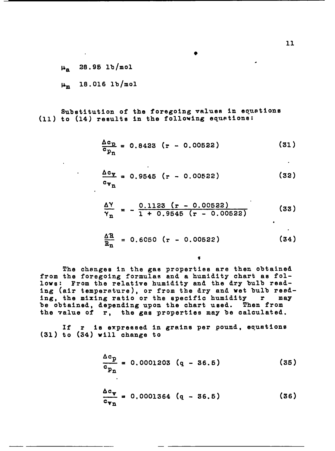$\mu_{\rm a}$  28.95 lb/mol

 $\mu_m$  18.016 1b/mol

Substitution of the foregoing values in equations (11) to (14) results in the following equetions:

$$
\frac{\Delta c_{\rm p}}{c_{\rm p_1}} = 0.8423 \left( r - 0.00522 \right) \tag{31}
$$

$$
\frac{\Delta c_{\Psi}}{c_{\Psi_{n}}} = 0.9545 (r - 0.00522)
$$
 (32)

$$
\frac{\Delta Y}{Y_{\text{n}}} = -\frac{0.1123 \left( \text{r} - 0.00522 \right)}{1 + 0.9545 \left( \text{r} - 0.00522 \right)} \tag{33}
$$

$$
\frac{\Delta R}{R_n} = 0.6050 \left( r - 0.00522 \right) \tag{34}
$$

¢

The changes In the gas properties are then obtained from the foregoing formulas and a humidity chart as follows: From the relative humidity and the dry bulb reading (air temperature), or from the *dry* and wet bulb reeding, the mixing ratio or the specific humidity  $r$ be obtained, depending upon the chart used. Then from the value of r, the gas properties may be calculated.

If r is expressed in grains per pound, equations **(31)** to *(34)* will change to

——.

$$
\frac{\Delta c_p}{c_{p_n}} = 0.0001203 (q - 36.5)
$$
 (35)

$$
\frac{\Delta c_{\nu}}{c_{\nu_{n}}} = 0.0001364 (q - 36.5)
$$
 (36)

.

*,*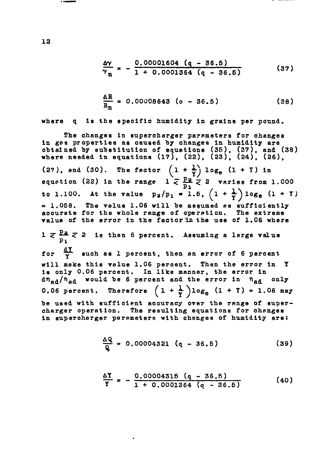$$
\frac{\Delta \gamma}{\gamma_n} = -\frac{0.00001604 (q - 36.5)}{1 + 0.0001364 (q - 36.5)}
$$
 (37)

$$
\frac{\Delta R}{R_{n}} = 0.00008643 (o - 36.5) \qquad (38)
$$

where  $\bullet$ is the specific humidity in grains per pound.

The changes in supercharger parameters for changes in ges properties as caused by changes in humidity are<br>obtained by substitution of equations (35), (37), and (38)<br>where needed in equations (17), (22), (23), (24), (26), (27), and (30). The factor  $(1 + \frac{1}{Y}) \log_{e} (1 + Y)$  in<br>equation (22) in the range  $1 \leq \frac{p_2}{p_1} \leq 2$  varies from 1.000 to 1.100. At the value  $p_2/p_1 = 1.5$ ,  $(1 + \frac{1}{Y}) log_0 (1 + Y)$  $= 1.058$ . The value 1.06 will be assumed as sufficiently accurate for the whole range of operation. The extreme value of the error in the factor in the use of 1.06 where  $1 \n\leq \frac{Pa}{p_1} \n\leq 2$  is then 6 percent. Assuming a large value for  $\frac{dY}{Y}$  such as 1 percent, then an error of 6 percent will make this value 1.06 percent. Then the error in Y is only 0.06 percent. In like manner, the error in  $\text{d}\eta_{\text{ad}}/\eta_{\text{ad}}$  would be 6 percent and the error in  $\eta_{\text{ad}}$ only 0.06 percent. Therefore  $(1 + \frac{1}{r})\log_{e} (1 + \overline{Y}) = 1.06$  may be used with sufficient accuracy over the range of supercharger operation. The resulting equations for changes in supercharger parameters with changes of humidity are:

$$
\frac{\Delta Q}{Q} = 0.00004321 (q - 36.5)
$$
 (39)

$$
\frac{\Delta Y}{Y} = -\frac{0.00004315 (q - 36.5)}{1 + 0.0001364 (q - 36.5)}
$$
 (40)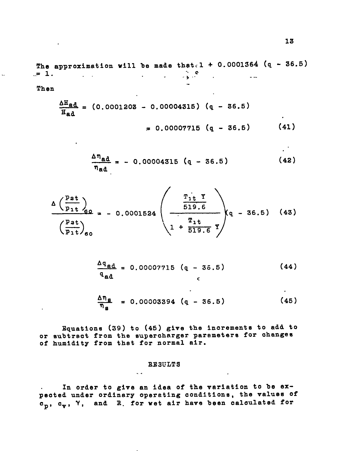The approximation will be made that. 1 + 0.0001364 (q - 36.5) ., -.= 1. . ";'"e <sup>n</sup> ...

 $\mathbf{r}$ 

Then

 $\mathcal{L}^{\mathcal{L}}$ 

**All Control** 

$$
\frac{\Delta H_{\text{ed}}}{H_{\text{ad}}} = (0.0001208 - 0.00004315) (q - 36.5)
$$
  
\n= 0.00007715 (q - 36.5) (41)

$$
\frac{\Delta \eta_{\rm ad}}{\eta_{\rm ad}} = -0.00004315 \quad (q - 36.5)
$$
 (42)

$$
\Delta \left( \frac{p_{at}}{p_{1t}} \right)_{60} = -0.0001524 \left( \frac{\frac{T_{1t}}{519.6}}{\frac{T_{1t}}{519.6}} \right)_{q} - 36.5 \quad (43)
$$

$$
\frac{\Delta q_{ad}}{q_{ad}} = 0.00007715 (q - 36.5)
$$
 (44)

$$
\frac{\Delta \eta_{\rm g}}{\eta_{\rm g}} = 0.00003394 \quad (q - 36.5)
$$
 (45)

Equations (39) to (45) give the increments to add to or subtract from the supercharger parameters for changes of humidity from that for normal air.

### RESULTS

..

In order to give an idea of the variation to be ex- $\mathbf{r} = \mathbf{r}$ peoted under orainary operating conditions, the values of c<sub>p</sub>, c<sub>v</sub>, Y, and R<sub>.</sub> for wet air have been calculated for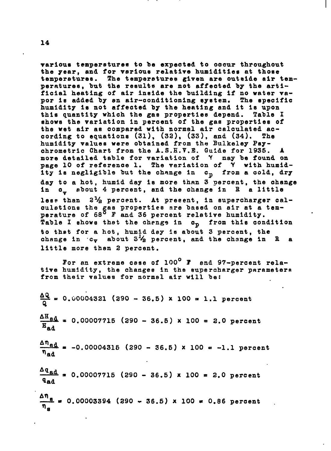~arious temperatures to be expected to occur throughout the year, and for various relative humidities at those temperatures. The temperatures given are outside air temperatures, hut the results are not affected by the artificial heating of air Inside the building if no water vapor is added by an air-conditioning system. The specific humidity Is not affected by the heating and it Is upon this quantity which the gas properties depend. Table I shows the variation in percent of the gas properties of the wet air as compared with normal air calculated according to equations (31), (32), (33), and (34). The humidity values were obtained from the Bulkeley Psychrometric Chart from the A.S.H.V.E. Guide for 1935. more detailed table for variation of Y nay be found on page 10 of reference 1. The variation of Y with humidity is negligible but the change in c<sub>p</sub> from a cold, dry day to a hot, humid day is more than 3 percent, the ohange in  $o_x$  about 4 percent, and the change in  $E$  a little less than  $2\frac{1}{2}$  percent. At present, in supercharger calculations the gas properties are based on air at a temperature of 68<sup>0</sup> F and 36 percent relative humidity Table I ehowe that the chengg in Op *from* thle condition to that for a hot, humid dey is about 3 percent, the change in  $c_v$  about  $5\frac{1}{2}$  percent, and the change in R a little more then 2 percent.

I

For an extreme cese *of* 100° 1' end 97-percent relative humldlty, the changes in the supercharger parameters from their values for normel air will be:

 $\frac{\Delta Q}{\Delta}$  = 0.00004321 (290 z-36.5) **<sup>X</sup>** 100 = 1.1 percent  $\frac{\Delta H}{\pi}$  = 0.00007715 (290 - 36.5) x 100 = 2.0 percent  $\overline{H}_{ad}$  $\frac{4 \text{ rad}}{2}$  = -0.00004315 (290 - 36.5) × 100 = -1.1 percent  $n_{ad}$  $\frac{\Delta q_{\text{ad}}}{q}$  = 0.00007715 (290 - 36.5) x 100 = 2.0 percent qad /lfle *= 0.00003394 (290 \_ 36.5) x* 100 ● 0.86 percent . ~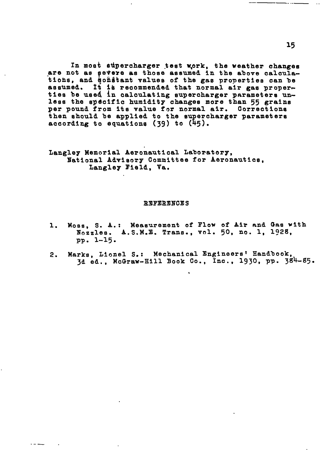In most supercharger test work, the weather changes are not as gevere as those assumed in the above calculations, and constant values of the gas properties can be assumed. It is recommended that normal air gas proper-<br>ties be used in calculating supercharger parameters unless the specific humidity changes more than 55 grains per pound from its value for normal air. Corrections then should be applied to the supercharger parameters according to equations (39) to  $(45)$ .

Langley Memorial Aeronautical Laboratory, National Advisory Committee for Aeronautics, Langley Field, Va.

#### **REFERENCES**

- Moss, S. A.: Measurement of Flow of Air and Gas with  $\mathbf{1}$ . Nozzles. A.S.M.E. Trans., vol. 50, no. 1, 1928, pp. 1-15.
- Marks, Lionel S.: Mechanical Engineers' Handbook,  $2.$ 3d ed., McGraw-Hill Book Co., Inc., 1930, pp. 384-85.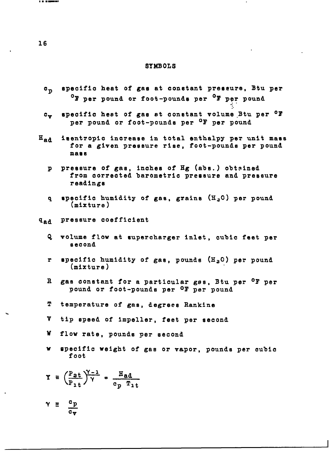### SYMBOLS

- $c_p$ specific heat *of* gas at constant preeeure, Btu per  $^{\circ}$  w per pound or foot-pounds per  $^{\circ}$  W per pound
- $c_{\mathbf{v}}$ specific heat of gas at constant volume Btu per <sup>O</sup>F per pound or foot-pounds per <sup>O</sup>F per pound

:.

- Had isentropic increase in total enthalpy per unit mass for a given pressure rise, foot-pounds per pound maas
	- *P* pressure *of* gas, inches **of** Hg (abs.) obtained from corrected barometric pressure and pressure readings
	- *q* specific humidity of **gas, grains (HaO)** per pound (mixture)

*~~d* pressure coefficient

- **Q** volume flow at supercharger Inlet, cubic feet par second
- **r** specific humidity of gas, pounds  $(H_2O)$  per pound (mixture)
- R gas constant for a particular gss, Btu per <sup>o</sup>F per pound or foot-pounds per oF per pound
- T temperature of gas, degrees Rankine
- v tip speed of impeller, feet per second
- w flow rate, pounds per second
- v specific weight of gas or vapor, pounds per cubic foot

$$
\Upsilon = \left(\frac{P_{at}}{P_{1t}}\right)^{\gamma-1} = \frac{H_{ad}}{c_p}.
$$

$$
\gamma \equiv \frac{c_p}{c_v}
$$

**m**■ **.-.9**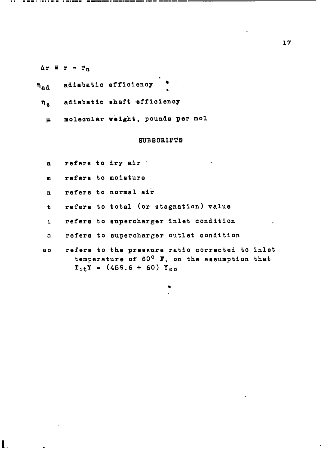### $\Delta r = r - r_n$

- adiabatic efficiency n<sub>ad</sub> m
	- adiabatic shaft efficiency η<sub>α</sub>
		- molecular weight, pcunde per mol p.

### SUBSCRIPTS

t

- refers to dry air  $\cdot$ a
- refere to moisture  $\mathbf{m}$
- refere to normal air  $\mathbf{n}$
- refers to total (or stagnation) value  $\mathbf t$
- refers to supercharger inlet conditicn .  $\mathbf{I}$
- $\mathbf{c}$ refere to supercharger outlet condition
- refers to the pressure ratio corrected to inlet 60 temperature of 60° T, on the assumption that  $T_{1t}Y = (459.6 + 60) Y_{00}$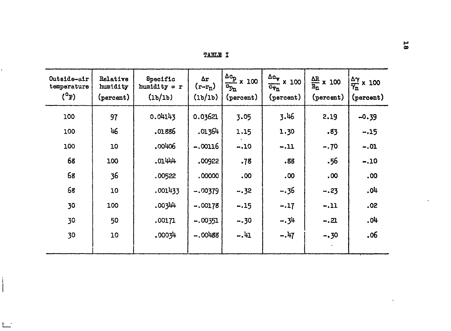| <b>TARLE</b> |  |
|--------------|--|
|              |  |

| Outside-air<br>temperature<br>$(T^0)$ | Relative<br>humidity<br>(percent) | Specific<br>$h$ umidity = $r$<br>(1b/1b) | Δr<br>$(r-r_n)$<br>(1b/1b) | $\frac{\Delta c_p}{2}$ x 100<br>$c_{p_n}$<br>(percent) | $\Delta c_{\text{y}}$ x 100<br>$\overline{c_{\mathbf{v}_n}}$<br>(percent) | $\frac{\Delta R}{R_n}$ x 100<br>(percent) | $\frac{\Delta \gamma}{\gamma_n}$ x 100<br>(percent) |
|---------------------------------------|-----------------------------------|------------------------------------------|----------------------------|--------------------------------------------------------|---------------------------------------------------------------------------|-------------------------------------------|-----------------------------------------------------|
| 100                                   | 97                                | 0.04143                                  | 0.03621                    | 3.05                                                   | 3.46                                                                      | 2.19                                      | $-0.39$                                             |
| 100                                   | 46                                | .01886                                   | .01364                     | 1.15                                                   | 1.30                                                                      | .83                                       | $-.15$                                              |
| 100                                   | 10                                | ,00406                                   | $-.00116$                  | $-.10$                                                 | $-.11$                                                                    | $-.70$                                    | $-.01$                                              |
| 68                                    | 100                               | .01444                                   | .00922                     | .78                                                    | .88                                                                       | .56                                       | $-.10$                                              |
| 68                                    | 36                                | .00522                                   | .00000                     | .00                                                    | $.00 \,$                                                                  | .00                                       | .00                                                 |
| 68                                    | 10                                | .001433                                  | $-.00379$                  | $-.32$                                                 | $-.36$                                                                    | $-.23$                                    | .04                                                 |
| 30                                    | 100                               | .00344                                   | $-.00178$                  | $-.15$                                                 | $-.17$                                                                    | $-.11$                                    | .02                                                 |
| 30                                    | 50                                | .00171                                   | $-.00351$                  | $-.30$                                                 | $-.34$                                                                    | $-.21$                                    | .04                                                 |
| 30                                    | 10                                | .00034                                   | $-.00488$                  | $-.41$                                                 | $-.47$                                                                    | $-.30$                                    | .06                                                 |
|                                       |                                   |                                          |                            |                                                        |                                                                           |                                           |                                                     |